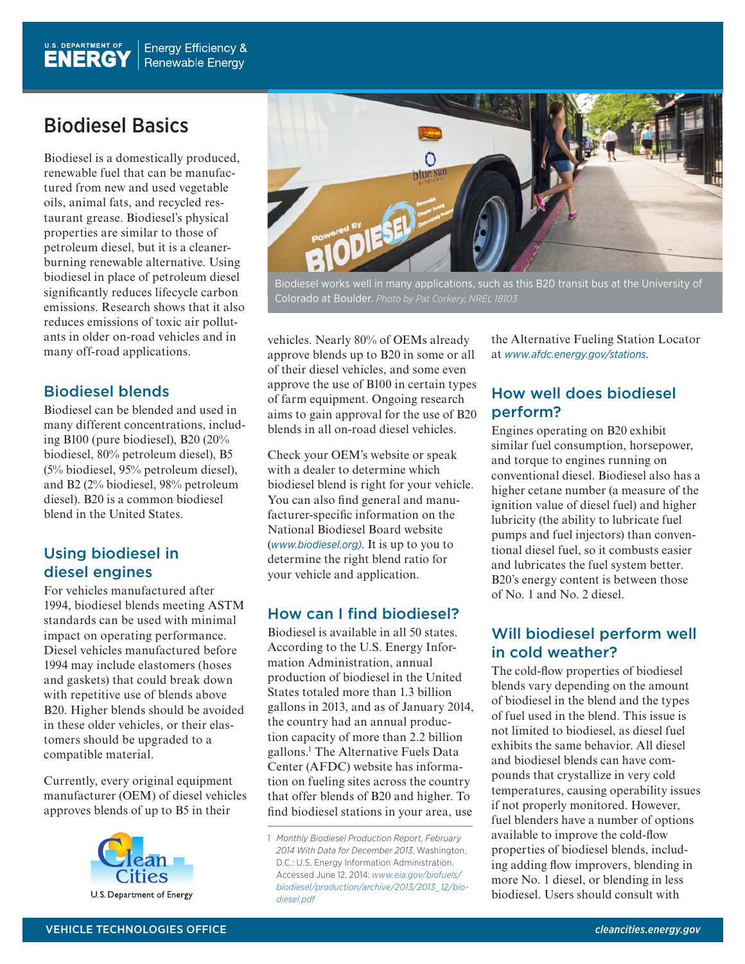# Biodiesel Basics

Biodiesel is a domestically produced, renewable fuel that can be manufactured from new and used vegetable oils, animal fats, and recycled restaurant grease. Biodiesel's physical properties are similar to those of petroleum diesel, but it is a cleanerburning renewable alternative. Using biodiesel in place of petroleum diesel significantly reduces lifecycle carbon emissions. Research shows that it also reduces emissions of toxic air pollutants in older on-road vehicles and in many off-road applications.

## Biodiesel blends

Biodiesel can be blended and used in many different concentrations, including B100 (pure biodiesel), B20 (20% biodiesel, 80% petroleum diesel), B5 (5% biodiesel, 95% petroleum diesel), and B2 (2% biodiesel, 98% petroleum diesel). B20 is a common biodiesel blend in the United States.

## Using biodiesel in diesel engines

For vehicles manufactured after 1994, biodiesel blends meeting ASTM standards can be used with minimal impact on operating performance. Diesel vehicles manufactured before 1994 may include elastomers (hoses and gaskets) that could break down with repetitive use of blends above B20. Higher blends should be avoided in these older vehicles, or their elastomers should be upgraded to a compatible material.

Currently, every original equipment manufacturer (OEM) of diesel vehicles approves blends of up to B5 in their





Biodiesel works well in many applications, such as this B20 transit bus at the University of Colorado at Boulder. *Photo by Pat Corkery, NREL 18103*

vehicles. Nearly 80% of OEMs already approve blends up to B20 in some or all of their diesel vehicles, and some even approve the use of B100 in certain types of farm equipment. Ongoing research aims to gain approval for the use of B20 blends in all on-road diesel vehicles.

Check your OEM's website or speak with a dealer to determine which biodiesel blend is right for your vehicle. You can also find general and manufacturer-specific information on the National Biodiesel Board website (*www.biodiesel.org)*. It is up to you to determine the right blend ratio for your vehicle and application.

### How can I find biodiesel?

Biodiesel is available in all 50 states. According to the U.S. Energy Information Administration, annual production of biodiesel in the United States totaled more than 1.3 billion gallons in 2013, and as of January 2014, the country had an annual production capacity of more than 2.2 billion gallons.1 The Alternative Fuels Data Center (AFDC) website has information on fueling sites across the country that offer blends of B20 and higher. To find biodiesel stations in your area, use

the Alternative Fueling Station Locator at *www.afdc.energy.gov/stations*.

## How well does biodiesel perform?

Engines operating on B20 exhibit similar fuel consumption, horsepower, and torque to engines running on conventional diesel. Biodiesel also has a higher cetane number (a measure of the ignition value of diesel fuel) and higher lubricity (the ability to lubricate fuel pumps and fuel injectors) than conventional diesel fuel, so it combusts easier and lubricates the fuel system better. B20's energy content is between those of No. 1 and No. 2 diesel.

## Will biodiesel perform well in cold weather?

The cold-flow properties of biodiesel blends vary depending on the amount of biodiesel in the blend and the types of fuel used in the blend. This issue is not limited to biodiesel, as diesel fuel exhibits the same behavior. All diesel and biodiesel blends can have compounds that crystallize in very cold temperatures, causing operability issues if not properly monitored. However, fuel blenders have a number of options available to improve the cold-flow properties of biodiesel blends, including adding flow improvers, blending in more No. 1 diesel, or blending in less biodiesel. Users should consult with

<sup>1</sup> *Monthly Biodiesel Production Report, February 2014 With Data for December 2013*, Washington, D.C.: U.S. Energy Information Administration. Accessed June 12, 2014: *www.eia.gov/biofuels/ biodiesel/production/archive/2013/2013\_12/biodiesel.pdf*